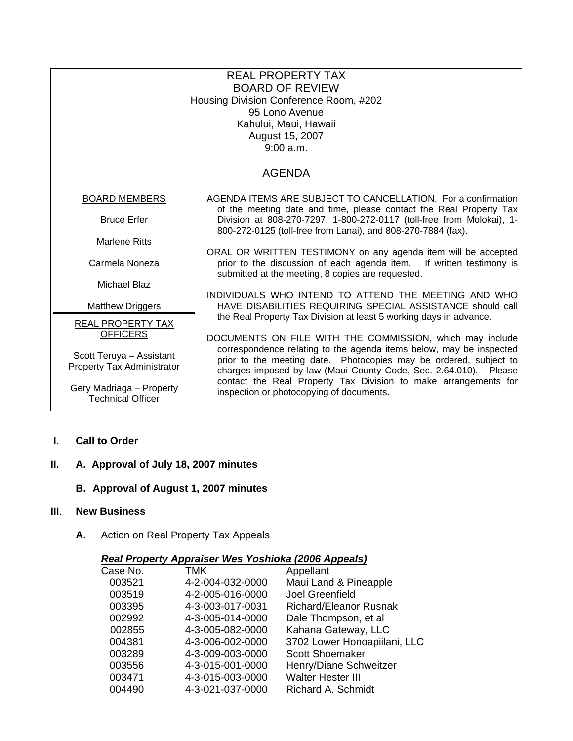| <b>REAL PROPERTY TAX</b><br><b>BOARD OF REVIEW</b><br>Housing Division Conference Room, #202<br>95 Lono Avenue<br>Kahului, Maui, Hawaii<br>August 15, 2007<br>9:00 a.m. |                                                                                                                                                                                                              |  |  |  |
|-------------------------------------------------------------------------------------------------------------------------------------------------------------------------|--------------------------------------------------------------------------------------------------------------------------------------------------------------------------------------------------------------|--|--|--|
|                                                                                                                                                                         | <b>AGENDA</b>                                                                                                                                                                                                |  |  |  |
| <b>BOARD MEMBERS</b>                                                                                                                                                    | AGENDA ITEMS ARE SUBJECT TO CANCELLATION. For a confirmation<br>of the meeting date and time, please contact the Real Property Tax                                                                           |  |  |  |
| <b>Bruce Erfer</b>                                                                                                                                                      | Division at 808-270-7297, 1-800-272-0117 (toll-free from Molokai), 1-<br>800-272-0125 (toll-free from Lanai), and 808-270-7884 (fax).                                                                        |  |  |  |
| <b>Marlene Ritts</b>                                                                                                                                                    |                                                                                                                                                                                                              |  |  |  |
| Carmela Noneza                                                                                                                                                          | ORAL OR WRITTEN TESTIMONY on any agenda item will be accepted<br>prior to the discussion of each agenda item. If written testimony is<br>submitted at the meeting, 8 copies are requested.                   |  |  |  |
| Michael Blaz                                                                                                                                                            | INDIVIDUALS WHO INTEND TO ATTEND THE MEETING AND WHO                                                                                                                                                         |  |  |  |
| <b>Matthew Driggers</b>                                                                                                                                                 | HAVE DISABILITIES REQUIRING SPECIAL ASSISTANCE should call<br>the Real Property Tax Division at least 5 working days in advance.                                                                             |  |  |  |
| REAL PROPERTY TAX<br><b>OFFICERS</b>                                                                                                                                    | DOCUMENTS ON FILE WITH THE COMMISSION, which may include                                                                                                                                                     |  |  |  |
| Scott Teruya - Assistant<br>Property Tax Administrator                                                                                                                  | correspondence relating to the agenda items below, may be inspected<br>prior to the meeting date. Photocopies may be ordered, subject to<br>charges imposed by law (Maui County Code, Sec. 2.64.010). Please |  |  |  |
| Gery Madriaga - Property<br><b>Technical Officer</b>                                                                                                                    | contact the Real Property Tax Division to make arrangements for<br>inspection or photocopying of documents.                                                                                                  |  |  |  |

 **I. Call to Order**

# **II. A. Approval of July 18, 2007 minutes**

# **B. Approval of August 1, 2007 minutes**

### **III**. **New Business**

**A.** Action on Real Property Tax Appeals

# *Real Property Appraiser Wes Yoshioka (2006 Appeals)*

| Case No. | TMK              | Appellant                     |
|----------|------------------|-------------------------------|
| 003521   | 4-2-004-032-0000 | Maui Land & Pineapple         |
| 003519   | 4-2-005-016-0000 | Joel Greenfield               |
| 003395   | 4-3-003-017-0031 | <b>Richard/Eleanor Rusnak</b> |
| 002992   | 4-3-005-014-0000 | Dale Thompson, et al          |
| 002855   | 4-3-005-082-0000 | Kahana Gateway, LLC           |
| 004381   | 4-3-006-002-0000 | 3702 Lower Honoapiilani, LLC  |
| 003289   | 4-3-009-003-0000 | <b>Scott Shoemaker</b>        |
| 003556   | 4-3-015-001-0000 | Henry/Diane Schweitzer        |
| 003471   | 4-3-015-003-0000 | <b>Walter Hester III</b>      |
| 004490   | 4-3-021-037-0000 | Richard A. Schmidt            |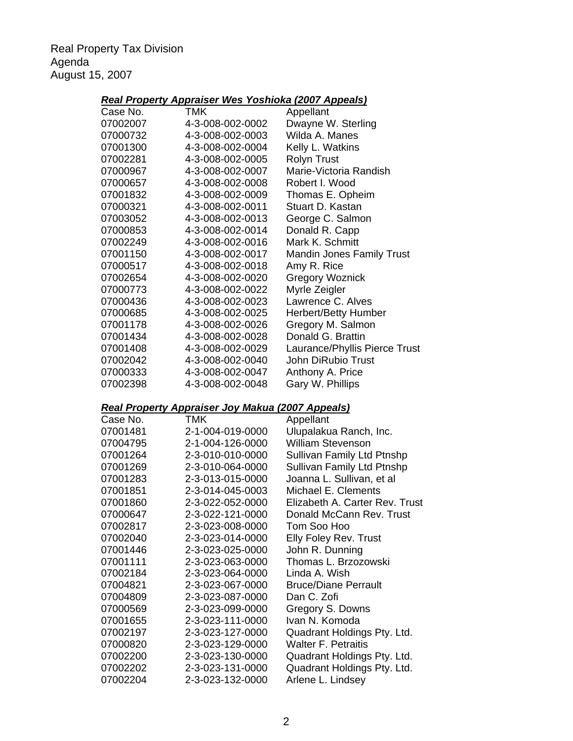Real Property Tax Division Agenda August 15, 2007

# *Real Property Appraiser Wes Yoshioka (2007 Appeals)*

| Case No. | TMK              | Appellant                        |
|----------|------------------|----------------------------------|
| 07002007 | 4-3-008-002-0002 | Dwayne W. Sterling               |
| 07000732 | 4-3-008-002-0003 | Wilda A. Manes                   |
| 07001300 | 4-3-008-002-0004 | Kelly L. Watkins                 |
| 07002281 | 4-3-008-002-0005 | <b>Rolyn Trust</b>               |
| 07000967 | 4-3-008-002-0007 | Marie-Victoria Randish           |
| 07000657 | 4-3-008-002-0008 | Robert I. Wood                   |
| 07001832 | 4-3-008-002-0009 | Thomas E. Opheim                 |
| 07000321 | 4-3-008-002-0011 | Stuart D. Kastan                 |
| 07003052 | 4-3-008-002-0013 | George C. Salmon                 |
| 07000853 | 4-3-008-002-0014 | Donald R. Capp                   |
| 07002249 | 4-3-008-002-0016 | Mark K. Schmitt                  |
| 07001150 | 4-3-008-002-0017 | <b>Mandin Jones Family Trust</b> |
| 07000517 | 4-3-008-002-0018 | Amy R. Rice                      |
| 07002654 | 4-3-008-002-0020 | <b>Gregory Woznick</b>           |
| 07000773 | 4-3-008-002-0022 | Myrle Zeigler                    |
| 07000436 | 4-3-008-002-0023 | Lawrence C. Alves                |
| 07000685 | 4-3-008-002-0025 | <b>Herbert/Betty Humber</b>      |
| 07001178 | 4-3-008-002-0026 | Gregory M. Salmon                |
| 07001434 | 4-3-008-002-0028 | Donald G. Brattin                |
| 07001408 | 4-3-008-002-0029 | Laurance/Phyllis Pierce Trust    |
| 07002042 | 4-3-008-002-0040 | John DiRubio Trust               |
| 07000333 | 4-3-008-002-0047 | Anthony A. Price                 |
| 07002398 | 4-3-008-002-0048 | Gary W. Phillips                 |

# *Real Property Appraiser Joy Makua (2007 Appeals)*

| TMK              | Appellant                      |
|------------------|--------------------------------|
| 2-1-004-019-0000 | Ulupalakua Ranch, Inc.         |
| 2-1-004-126-0000 | <b>William Stevenson</b>       |
| 2-3-010-010-0000 | Sullivan Family Ltd Ptnshp     |
| 2-3-010-064-0000 | Sullivan Family Ltd Ptnshp     |
| 2-3-013-015-0000 | Joanna L. Sullivan, et al      |
| 2-3-014-045-0003 | Michael E. Clements            |
| 2-3-022-052-0000 | Elizabeth A. Carter Rev. Trust |
| 2-3-022-121-0000 | Donald McCann Rev. Trust       |
| 2-3-023-008-0000 | Tom Soo Hoo                    |
| 2-3-023-014-0000 | <b>Elly Foley Rev. Trust</b>   |
| 2-3-023-025-0000 | John R. Dunning                |
| 2-3-023-063-0000 | Thomas L. Brzozowski           |
| 2-3-023-064-0000 | Linda A. Wish                  |
| 2-3-023-067-0000 | <b>Bruce/Diane Perrault</b>    |
| 2-3-023-087-0000 | Dan C. Zofi                    |
| 2-3-023-099-0000 | Gregory S. Downs               |
| 2-3-023-111-0000 | Ivan N. Komoda                 |
| 2-3-023-127-0000 | Quadrant Holdings Pty. Ltd.    |
| 2-3-023-129-0000 | <b>Walter F. Petraitis</b>     |
| 2-3-023-130-0000 | Quadrant Holdings Pty. Ltd.    |
| 2-3-023-131-0000 | Quadrant Holdings Pty. Ltd.    |
| 2-3-023-132-0000 | Arlene L. Lindsey              |
|                  |                                |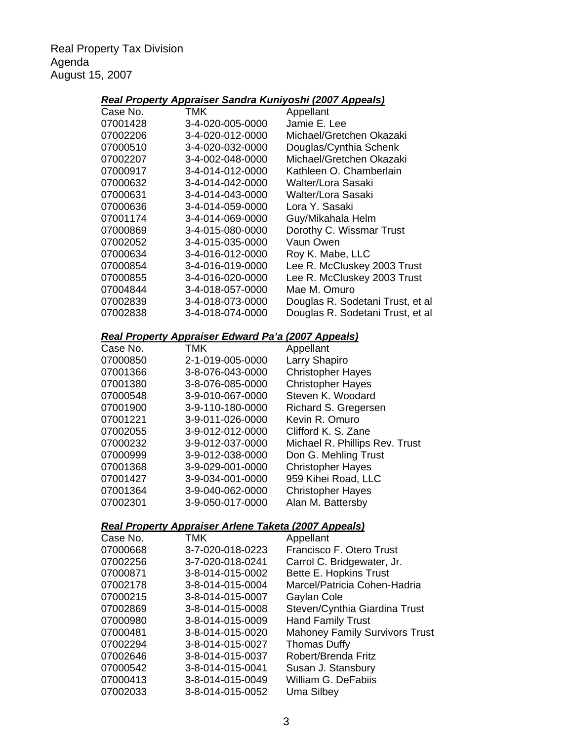Real Property Tax Division Agenda August 15, 2007

## *Real Property Appraiser Sandra Kuniyoshi (2007 Appeals)*

| Case No. | TMK                                                                      | Appellant                                     |
|----------|--------------------------------------------------------------------------|-----------------------------------------------|
| 07001428 | 3-4-020-005-0000                                                         | Jamie E. Lee                                  |
| 07002206 | 3-4-020-012-0000                                                         | Michael/Gretchen Okazaki                      |
| 07000510 | 3-4-020-032-0000                                                         | Douglas/Cynthia Schenk                        |
| 07002207 | 3-4-002-048-0000                                                         | Michael/Gretchen Okazaki                      |
| 07000917 | 3-4-014-012-0000                                                         | Kathleen O. Chamberlain                       |
| 07000632 | 3-4-014-042-0000                                                         | Walter/Lora Sasaki                            |
| 07000631 | 3-4-014-043-0000                                                         | Walter/Lora Sasaki                            |
| 07000636 | 3-4-014-059-0000                                                         | Lora Y. Sasaki                                |
| 07001174 | 3-4-014-069-0000                                                         | Guy/Mikahala Helm                             |
| 07000869 | 3-4-015-080-0000                                                         | Dorothy C. Wissmar Trust                      |
| 07002052 | 3-4-015-035-0000                                                         | Vaun Owen                                     |
| 07000634 | 3-4-016-012-0000                                                         | Roy K. Mabe, LLC                              |
| 07000854 | 3-4-016-019-0000                                                         | Lee R. McCluskey 2003 Trust                   |
| 07000855 | 3-4-016-020-0000                                                         | Lee R. McCluskey 2003 Trust                   |
| 07004844 | 3-4-018-057-0000                                                         | Mae M. Omuro                                  |
|          |                                                                          |                                               |
| 07002839 | 3-4-018-073-0000                                                         | Douglas R. Sodetani Trust, et al              |
| 07002838 | 3-4-018-074-0000                                                         | Douglas R. Sodetani Trust, et al              |
|          |                                                                          |                                               |
| Case No. | <u> Real Property Appraiser Edward Pa'a (2007 Appeals)</u><br><b>TMK</b> | Appellant                                     |
| 07000850 | 2-1-019-005-0000                                                         | Larry Shapiro                                 |
| 07001366 | 3-8-076-043-0000                                                         | <b>Christopher Hayes</b>                      |
| 07001380 |                                                                          |                                               |
|          | 3-8-076-085-0000                                                         | <b>Christopher Hayes</b><br>Steven K. Woodard |
| 07000548 | 3-9-010-067-0000                                                         |                                               |
| 07001900 | 3-9-110-180-0000                                                         | Richard S. Gregersen                          |
| 07001221 | 3-9-011-026-0000                                                         | Kevin R. Omuro                                |
| 07002055 | 3-9-012-012-0000                                                         | Clifford K. S. Zane                           |
| 07000232 | 3-9-012-037-0000                                                         | Michael R. Phillips Rev. Trust                |
| 07000999 | 3-9-012-038-0000                                                         | Don G. Mehling Trust                          |
| 07001368 | 3-9-029-001-0000                                                         | <b>Christopher Hayes</b>                      |
| 07001427 | 3-9-034-001-0000                                                         | 959 Kihei Road, LLC                           |
| 07001364 | 3-9-040-062-0000                                                         | <b>Christopher Hayes</b>                      |
| 07002301 | 3-9-050-017-0000                                                         | Alan M. Battersby                             |
|          |                                                                          |                                               |
| Case No. | Real Property Appraiser Arlene Taketa (2007 Appeals)<br>TMK              |                                               |
| 07000668 | 3-7-020-018-0223                                                         | Appellant<br>Francisco F. Otero Trust         |
|          |                                                                          |                                               |
| 07002256 | 3-7-020-018-0241                                                         | Carrol C. Bridgewater, Jr.                    |
| 07000871 | 3-8-014-015-0002                                                         | Bette E. Hopkins Trust                        |
| 07002178 | 3-8-014-015-0004                                                         | Marcel/Patricia Cohen-Hadria                  |
| 07000215 | 3-8-014-015-0007                                                         | Gaylan Cole                                   |
| 07002869 | 3-8-014-015-0008                                                         | Steven/Cynthia Giardina Trust                 |
| 07000980 | 3-8-014-015-0009                                                         | <b>Hand Family Trust</b>                      |
| 07000481 | 3-8-014-015-0020                                                         | <b>Mahoney Family Survivors Trust</b>         |
| 07002294 | 3-8-014-015-0027                                                         | <b>Thomas Duffy</b>                           |
| 07002646 | 3-8-014-015-0037                                                         | Robert/Brenda Fritz                           |
| 07000542 | 3-8-014-015-0041                                                         | Susan J. Stansbury                            |

07000413 3-8-014-015-0049 William G. DeFabiis<br>07002033 3-8-014-015-0052 Uma Silbey

07002033 3-8-014-015-0052